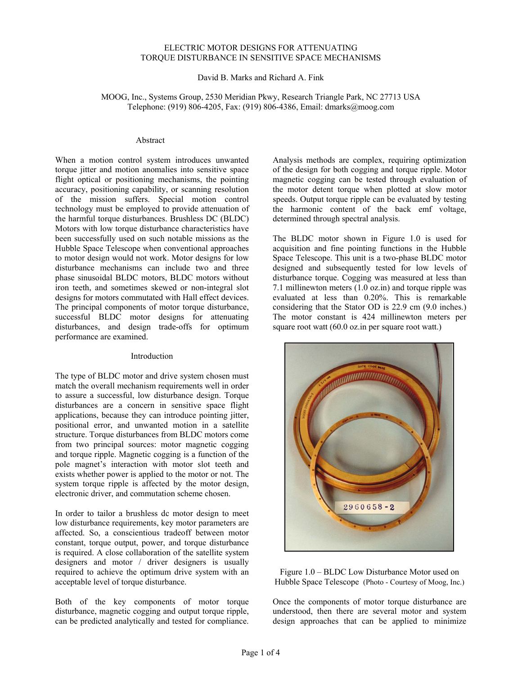# ELECTRIC MOTOR DESIGNS FOR ATTENUATING TORQUE DISTURBANCE IN SENSITIVE SPACE MECHANISMS

David B. Marks and Richard A. Fink

## MOOG, Inc., Systems Group, 2530 Meridian Pkwy, Research Triangle Park, NC 27713 USA Telephone: (919) 806-4205, Fax: (919) 806-4386, Email: dmarks@moog.com

## Abstract

When a motion control system introduces unwanted torque jitter and motion anomalies into sensitive space flight optical or positioning mechanisms, the pointing accuracy, positioning capability, or scanning resolution of the mission suffers. Special motion control technology must be employed to provide attenuation of the harmful torque disturbances. Brushless DC (BLDC) Motors with low torque disturbance characteristics have been successfully used on such notable missions as the Hubble Space Telescope when conventional approaches to motor design would not work. Motor designs for low disturbance mechanisms can include two and three phase sinusoidal BLDC motors, BLDC motors without iron teeth, and sometimes skewed or non-integral slot designs for motors commutated with Hall effect devices. The principal components of motor torque disturbance, successful BLDC motor designs for attenuating disturbances, and design trade-offs for optimum performance are examined.

#### Introduction

The type of BLDC motor and drive system chosen must match the overall mechanism requirements well in order to assure a successful, low disturbance design. Torque disturbances are a concern in sensitive space flight applications, because they can introduce pointing jitter, positional error, and unwanted motion in a satellite structure. Torque disturbances from BLDC motors come from two principal sources: motor magnetic cogging and torque ripple. Magnetic cogging is a function of the pole magnet's interaction with motor slot teeth and exists whether power is applied to the motor or not. The system torque ripple is affected by the motor design, electronic driver, and commutation scheme chosen.

In order to tailor a brushless dc motor design to meet low disturbance requirements, key motor parameters are affected. So, a conscientious tradeoff between motor constant, torque output, power, and torque disturbance is required. A close collaboration of the satellite system designers and motor / driver designers is usually required to achieve the optimum drive system with an acceptable level of torque disturbance.

Both of the key components of motor torque disturbance, magnetic cogging and output torque ripple, can be predicted analytically and tested for compliance.

Analysis methods are complex, requiring optimization of the design for both cogging and torque ripple. Motor magnetic cogging can be tested through evaluation of the motor detent torque when plotted at slow motor speeds. Output torque ripple can be evaluated by testing the harmonic content of the back emf voltage, determined through spectral analysis.

The BLDC motor shown in Figure 1.0 is used for acquisition and fine pointing functions in the Hubble Space Telescope. This unit is a two-phase BLDC motor designed and subsequently tested for low levels of disturbance torque. Cogging was measured at less than 7.1 millinewton meters (1.0 oz.in) and torque ripple was evaluated at less than 0.20%. This is remarkable considering that the Stator OD is 22.9 cm (9.0 inches.) The motor constant is 424 millinewton meters per square root watt (60.0 oz.in per square root watt.)



Figure 1.0 – BLDC Low Disturbance Motor used on Hubble Space Telescope (Photo - Courtesy of Moog, Inc.)

Once the components of motor torque disturbance are understood, then there are several motor and system design approaches that can be applied to minimize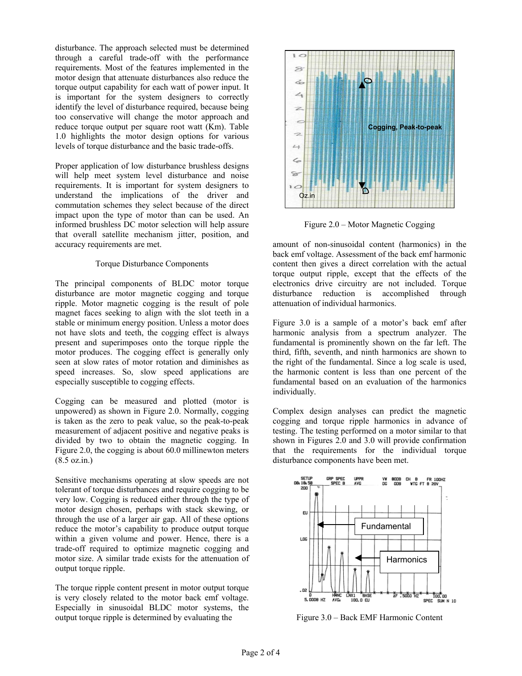disturbance. The approach selected must be determined through a careful trade-off with the performance requirements. Most of the features implemented in the motor design that attenuate disturbances also reduce the torque output capability for each watt of power input. It is important for the system designers to correctly identify the level of disturbance required, because being too conservative will change the motor approach and reduce torque output per square root watt (Km). Table 1.0 highlights the motor design options for various levels of torque disturbance and the basic trade-offs.

Proper application of low disturbance brushless designs will help meet system level disturbance and noise requirements. It is important for system designers to understand the implications of the driver and commutation schemes they select because of the direct impact upon the type of motor than can be used. An informed brushless DC motor selection will help assure that overall satellite mechanism jitter, position, and accuracy requirements are met.

# Torque Disturbance Components

The principal components of BLDC motor torque disturbance are motor magnetic cogging and torque ripple. Motor magnetic cogging is the result of pole magnet faces seeking to align with the slot teeth in a stable or minimum energy position. Unless a motor does not have slots and teeth, the cogging effect is always present and superimposes onto the torque ripple the motor produces. The cogging effect is generally only seen at slow rates of motor rotation and diminishes as speed increases. So, slow speed applications are especially susceptible to cogging effects.

Cogging can be measured and plotted (motor is unpowered) as shown in Figure 2.0. Normally, cogging is taken as the zero to peak value, so the peak-to-peak measurement of adjacent positive and negative peaks is divided by two to obtain the magnetic cogging. In Figure 2.0, the cogging is about 60.0 millinewton meters (8.5 oz.in.)

Sensitive mechanisms operating at slow speeds are not tolerant of torque disturbances and require cogging to be very low. Cogging is reduced either through the type of motor design chosen, perhaps with stack skewing, or through the use of a larger air gap. All of these options reduce the motor's capability to produce output torque within a given volume and power. Hence, there is a trade-off required to optimize magnetic cogging and motor size. A similar trade exists for the attenuation of output torque ripple.

The torque ripple content present in motor output torque is very closely related to the motor back emf voltage. Especially in sinusoidal BLDC motor systems, the output torque ripple is determined by evaluating the



Figure 2.0 – Motor Magnetic Cogging

amount of non-sinusoidal content (harmonics) in the back emf voltage. Assessment of the back emf harmonic content then gives a direct correlation with the actual torque output ripple, except that the effects of the electronics drive circuitry are not included. Torque disturbance reduction is accomplished through attenuation of individual harmonics.

Figure 3.0 is a sample of a motor's back emf after harmonic analysis from a spectrum analyzer. The fundamental is prominently shown on the far left. The third, fifth, seventh, and ninth harmonics are shown to the right of the fundamental. Since a log scale is used, the harmonic content is less than one percent of the fundamental based on an evaluation of the harmonics individually.

Complex design analyses can predict the magnetic cogging and torque ripple harmonics in advance of testing. The testing performed on a motor similar to that shown in Figures 2.0 and 3.0 will provide confirmation that the requirements for the individual torque disturbance components have been met.



Figure 3.0 – Back EMF Harmonic Content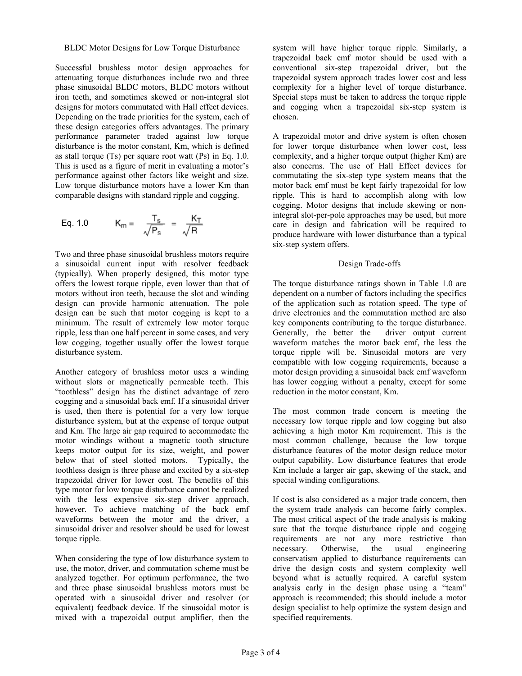Successful brushless motor design approaches for attenuating torque disturbances include two and three phase sinusoidal BLDC motors, BLDC motors without iron teeth, and sometimes skewed or non-integral slot designs for motors commutated with Hall effect devices. Depending on the trade priorities for the system, each of these design categories offers advantages. The primary performance parameter traded against low torque disturbance is the motor constant, Km, which is defined as stall torque (Ts) per square root watt (Ps) in Eq. 1.0. This is used as a figure of merit in evaluating a motor's performance against other factors like weight and size. Low torque disturbance motors have a lower Km than comparable designs with standard ripple and cogging.

Eq. 1.0 
$$
K_m = \frac{T_s}{\sqrt{P_s}} = \frac{K_T}{\sqrt{R}}
$$

Two and three phase sinusoidal brushless motors require a sinusoidal current input with resolver feedback (typically). When properly designed, this motor type offers the lowest torque ripple, even lower than that of motors without iron teeth, because the slot and winding design can provide harmonic attenuation. The pole design can be such that motor cogging is kept to a minimum. The result of extremely low motor torque ripple, less than one half percent in some cases, and very low cogging, together usually offer the lowest torque disturbance system.

Another category of brushless motor uses a winding without slots or magnetically permeable teeth. This "toothless" design has the distinct advantage of zero cogging and a sinusoidal back emf. If a sinusoidal driver is used, then there is potential for a very low torque disturbance system, but at the expense of torque output and Km. The large air gap required to accommodate the motor windings without a magnetic tooth structure keeps motor output for its size, weight, and power below that of steel slotted motors. Typically, the toothless design is three phase and excited by a six-step trapezoidal driver for lower cost. The benefits of this type motor for low torque disturbance cannot be realized with the less expensive six-step driver approach, however. To achieve matching of the back emf waveforms between the motor and the driver, a sinusoidal driver and resolver should be used for lowest torque ripple.

When considering the type of low disturbance system to use, the motor, driver, and commutation scheme must be analyzed together. For optimum performance, the two and three phase sinusoidal brushless motors must be operated with a sinusoidal driver and resolver (or equivalent) feedback device. If the sinusoidal motor is mixed with a trapezoidal output amplifier, then the

system will have higher torque ripple. Similarly, a trapezoidal back emf motor should be used with a conventional six-step trapezoidal driver, but the trapezoidal system approach trades lower cost and less complexity for a higher level of torque disturbance. Special steps must be taken to address the torque ripple and cogging when a trapezoidal six-step system is chosen.

A trapezoidal motor and drive system is often chosen for lower torque disturbance when lower cost, less complexity, and a higher torque output (higher Km) are also concerns. The use of Hall Effect devices for commutating the six-step type system means that the motor back emf must be kept fairly trapezoidal for low ripple. This is hard to accomplish along with low cogging. Motor designs that include skewing or nonintegral slot-per-pole approaches may be used, but more care in design and fabrication will be required to produce hardware with lower disturbance than a typical six-step system offers.

## Design Trade-offs

The torque disturbance ratings shown in Table 1.0 are dependent on a number of factors including the specifics of the application such as rotation speed. The type of drive electronics and the commutation method are also key components contributing to the torque disturbance. Generally, the better the driver output current waveform matches the motor back emf, the less the torque ripple will be. Sinusoidal motors are very compatible with low cogging requirements, because a motor design providing a sinusoidal back emf waveform has lower cogging without a penalty, except for some reduction in the motor constant, Km.

The most common trade concern is meeting the necessary low torque ripple and low cogging but also achieving a high motor Km requirement. This is the most common challenge, because the low torque disturbance features of the motor design reduce motor output capability. Low disturbance features that erode Km include a larger air gap, skewing of the stack, and special winding configurations.

If cost is also considered as a major trade concern, then the system trade analysis can become fairly complex. The most critical aspect of the trade analysis is making sure that the torque disturbance ripple and cogging requirements are not any more restrictive than necessary. Otherwise, the usual engineering conservatism applied to disturbance requirements can drive the design costs and system complexity well beyond what is actually required. A careful system analysis early in the design phase using a "team" approach is recommended; this should include a motor design specialist to help optimize the system design and specified requirements.